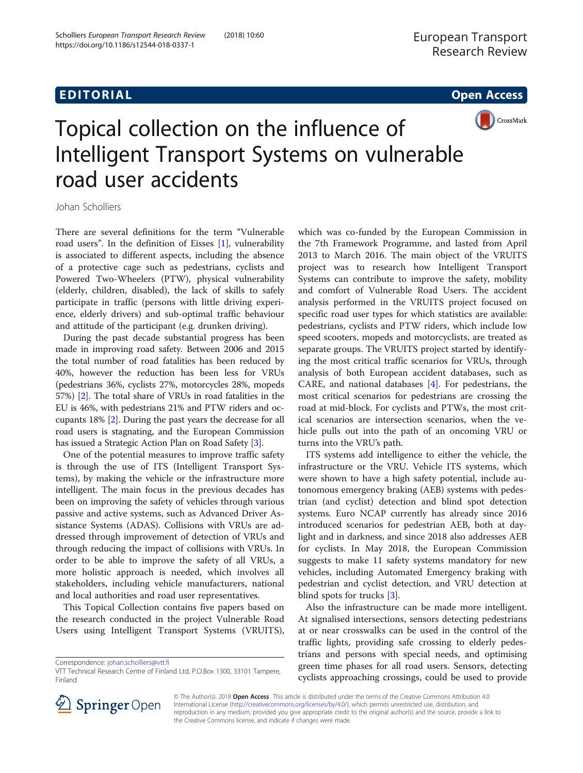## EDI TORIA L Open Access



# Topical collection on the influence of Intelligent Transport Systems on vulnerable road user accidents

Johan Scholliers

There are several definitions for the term "Vulnerable road users". In the definition of Eisses [[1\]](#page-2-0), vulnerability is associated to different aspects, including the absence of a protective cage such as pedestrians, cyclists and Powered Two-Wheelers (PTW), physical vulnerability (elderly, children, disabled), the lack of skills to safely participate in traffic (persons with little driving experience, elderly drivers) and sub-optimal traffic behaviour and attitude of the participant (e.g. drunken driving).

During the past decade substantial progress has been made in improving road safety. Between 2006 and 2015 the total number of road fatalities has been reduced by 40%, however the reduction has been less for VRUs (pedestrians 36%, cyclists 27%, motorcycles 28%, mopeds 57%) [[2](#page-2-0)]. The total share of VRUs in road fatalities in the EU is 46%, with pedestrians 21% and PTW riders and occupants 18% [\[2\]](#page-2-0). During the past years the decrease for all road users is stagnating, and the European Commission has issued a Strategic Action Plan on Road Safety [\[3](#page-2-0)].

One of the potential measures to improve traffic safety is through the use of ITS (Intelligent Transport Systems), by making the vehicle or the infrastructure more intelligent. The main focus in the previous decades has been on improving the safety of vehicles through various passive and active systems, such as Advanced Driver Assistance Systems (ADAS). Collisions with VRUs are addressed through improvement of detection of VRUs and through reducing the impact of collisions with VRUs. In order to be able to improve the safety of all VRUs, a more holistic approach is needed, which involves all stakeholders, including vehicle manufacturers, national and local authorities and road user representatives.

This Topical Collection contains five papers based on the research conducted in the project Vulnerable Road Users using Intelligent Transport Systems (VRUITS),

Correspondence: [johan.scholliers@vtt.fi](mailto:johan.scholliers@vtt.fi)

which was co-funded by the European Commission in the 7th Framework Programme, and lasted from April 2013 to March 2016. The main object of the VRUITS project was to research how Intelligent Transport Systems can contribute to improve the safety, mobility and comfort of Vulnerable Road Users. The accident analysis performed in the VRUITS project focused on specific road user types for which statistics are available: pedestrians, cyclists and PTW riders, which include low speed scooters, mopeds and motorcyclists, are treated as separate groups. The VRUITS project started by identifying the most critical traffic scenarios for VRUs, through analysis of both European accident databases, such as CARE, and national databases [[4\]](#page-2-0). For pedestrians, the most critical scenarios for pedestrians are crossing the road at mid-block. For cyclists and PTWs, the most critical scenarios are intersection scenarios, when the vehicle pulls out into the path of an oncoming VRU or turns into the VRU's path.

ITS systems add intelligence to either the vehicle, the infrastructure or the VRU. Vehicle ITS systems, which were shown to have a high safety potential, include autonomous emergency braking (AEB) systems with pedestrian (and cyclist) detection and blind spot detection systems. Euro NCAP currently has already since 2016 introduced scenarios for pedestrian AEB, both at daylight and in darkness, and since 2018 also addresses AEB for cyclists. In May 2018, the European Commission suggests to make 11 safety systems mandatory for new vehicles, including Automated Emergency braking with pedestrian and cyclist detection, and VRU detection at blind spots for trucks [[3\]](#page-2-0).

Also the infrastructure can be made more intelligent. At signalised intersections, sensors detecting pedestrians at or near crosswalks can be used in the control of the traffic lights, providing safe crossing to elderly pedestrians and persons with special needs, and optimising green time phases for all road users. Sensors, detecting cyclists approaching crossings, could be used to provide



© The Author(s). 2018 Open Access This article is distributed under the terms of the Creative Commons Attribution 4.0 International License ([http://creativecommons.org/licenses/by/4.0/\)](http://creativecommons.org/licenses/by/4.0/), which permits unrestricted use, distribution, and reproduction in any medium, provided you give appropriate credit to the original author(s) and the source, provide a link to the Creative Commons license, and indicate if changes were made.

VTT Technical Research Centre of Finland Ltd, P.O.Box 1300, 33101 Tampere, Finland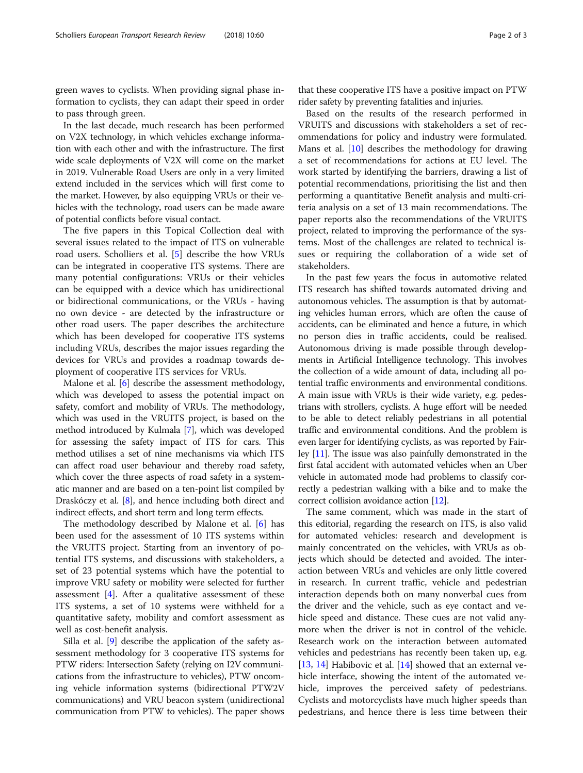green waves to cyclists. When providing signal phase information to cyclists, they can adapt their speed in order to pass through green.

In the last decade, much research has been performed on V2X technology, in which vehicles exchange information with each other and with the infrastructure. The first wide scale deployments of V2X will come on the market in 2019. Vulnerable Road Users are only in a very limited extend included in the services which will first come to the market. However, by also equipping VRUs or their vehicles with the technology, road users can be made aware of potential conflicts before visual contact.

The five papers in this Topical Collection deal with several issues related to the impact of ITS on vulnerable road users. Scholliers et al. [\[5](#page-2-0)] describe the how VRUs can be integrated in cooperative ITS systems. There are many potential configurations: VRUs or their vehicles can be equipped with a device which has unidirectional or bidirectional communications, or the VRUs - having no own device - are detected by the infrastructure or other road users. The paper describes the architecture which has been developed for cooperative ITS systems including VRUs, describes the major issues regarding the devices for VRUs and provides a roadmap towards deployment of cooperative ITS services for VRUs.

Malone et al. [[6\]](#page-2-0) describe the assessment methodology, which was developed to assess the potential impact on safety, comfort and mobility of VRUs. The methodology, which was used in the VRUITS project, is based on the method introduced by Kulmala [[7\]](#page-2-0), which was developed for assessing the safety impact of ITS for cars. This method utilises a set of nine mechanisms via which ITS can affect road user behaviour and thereby road safety, which cover the three aspects of road safety in a systematic manner and are based on a ten-point list compiled by Draskóczy et al. [[8\]](#page-2-0), and hence including both direct and indirect effects, and short term and long term effects.

The methodology described by Malone et al. [\[6](#page-2-0)] has been used for the assessment of 10 ITS systems within the VRUITS project. Starting from an inventory of potential ITS systems, and discussions with stakeholders, a set of 23 potential systems which have the potential to improve VRU safety or mobility were selected for further assessment  $[4]$  $[4]$ . After a qualitative assessment of these ITS systems, a set of 10 systems were withheld for a quantitative safety, mobility and comfort assessment as well as cost-benefit analysis.

Silla et al. [\[9\]](#page-2-0) describe the application of the safety assessment methodology for 3 cooperative ITS systems for PTW riders: Intersection Safety (relying on I2V communications from the infrastructure to vehicles), PTW oncoming vehicle information systems (bidirectional PTW2V communications) and VRU beacon system (unidirectional communication from PTW to vehicles). The paper shows

that these cooperative ITS have a positive impact on PTW rider safety by preventing fatalities and injuries.

Based on the results of the research performed in VRUITS and discussions with stakeholders a set of recommendations for policy and industry were formulated. Mans et al. [[10](#page-2-0)] describes the methodology for drawing a set of recommendations for actions at EU level. The work started by identifying the barriers, drawing a list of potential recommendations, prioritising the list and then performing a quantitative Benefit analysis and multi-criteria analysis on a set of 13 main recommendations. The paper reports also the recommendations of the VRUITS project, related to improving the performance of the systems. Most of the challenges are related to technical issues or requiring the collaboration of a wide set of stakeholders.

In the past few years the focus in automotive related ITS research has shifted towards automated driving and autonomous vehicles. The assumption is that by automating vehicles human errors, which are often the cause of accidents, can be eliminated and hence a future, in which no person dies in traffic accidents, could be realised. Autonomous driving is made possible through developments in Artificial Intelligence technology. This involves the collection of a wide amount of data, including all potential traffic environments and environmental conditions. A main issue with VRUs is their wide variety, e.g. pedestrians with strollers, cyclists. A huge effort will be needed to be able to detect reliably pedestrians in all potential traffic and environmental conditions. And the problem is even larger for identifying cyclists, as was reported by Fairley [\[11\]](#page-2-0). The issue was also painfully demonstrated in the first fatal accident with automated vehicles when an Uber vehicle in automated mode had problems to classify correctly a pedestrian walking with a bike and to make the correct collision avoidance action [[12\]](#page-2-0).

The same comment, which was made in the start of this editorial, regarding the research on ITS, is also valid for automated vehicles: research and development is mainly concentrated on the vehicles, with VRUs as objects which should be detected and avoided. The interaction between VRUs and vehicles are only little covered in research. In current traffic, vehicle and pedestrian interaction depends both on many nonverbal cues from the driver and the vehicle, such as eye contact and vehicle speed and distance. These cues are not valid anymore when the driver is not in control of the vehicle. Research work on the interaction between automated vehicles and pedestrians has recently been taken up, e.g. [[13,](#page-2-0) [14\]](#page-2-0) Habibovic et al. [14] showed that an external vehicle interface, showing the intent of the automated vehicle, improves the perceived safety of pedestrians. Cyclists and motorcyclists have much higher speeds than pedestrians, and hence there is less time between their